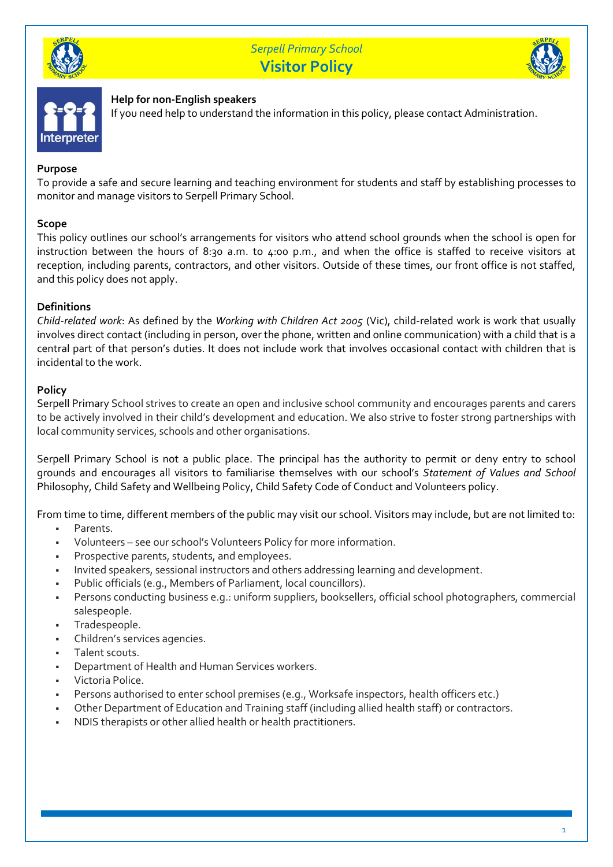

## *Serpell Primary School* **Visitor Policy**





## **Help for non-English speakers**

If you need help to understand the information in this policy, please contact Administration.

## **Purpose**

To provide a safe and secure learning and teaching environment for students and staff by establishing processes to monitor and manage visitors to Serpell Primary School.

## **Scope**

This policy outlines our school's arrangements for visitors who attend school grounds when the school is open for instruction between the hours of 8:30 a.m. to 4:00 p.m., and when the office is staffed to receive visitors at reception, including parents, contractors, and other visitors. Outside of these times, our front office is not staffed, and this policy does not apply.

## **Definitions**

*Child-related work*: As defined by the *Working with Children Act 2005* (Vic), child-related work is work that usually involves direct contact (including in person, over the phone, written and online communication) with a child that is a central part of that person's duties. It does not include work that involves occasional contact with children that is incidental to the work.

## **Policy**

Serpell Primary School strives to create an open and inclusive school community and encourages parents and carers to be actively involved in their child's development and education. We also strive to foster strong partnerships with local community services, schools and other organisations.

Serpell Primary School is not a public place. The principal has the authority to permit or deny entry to school grounds and encourages all visitors to familiarise themselves with our school's *Statement of Values and School*  Philosophy, Child Safety and Wellbeing Policy, Child Safety Code of Conduct and Volunteers policy.

From time to time, different members of the public may visit our school. Visitors may include, but are not limited to:

- Parents.
- Volunteers see our school's Volunteers Policy for more information.
- **•** Prospective parents, students, and employees.
- Invited speakers, sessional instructors and others addressing learning and development.
- Public officials (e.g., Members of Parliament, local councillors).
- Persons conducting business e.g.: uniform suppliers, booksellers, official school photographers, commercial salespeople.
- Tradespeople.
- Children's services agencies.
- Talent scouts.
- Department of Health and Human Services workers.
- Victoria Police.
- Persons authorised to enter school premises (e.g., Worksafe inspectors, health officers etc.)
- Other Department of Education and Training staff (including allied health staff) or contractors.
- NDIS therapists or other allied health or health practitioners.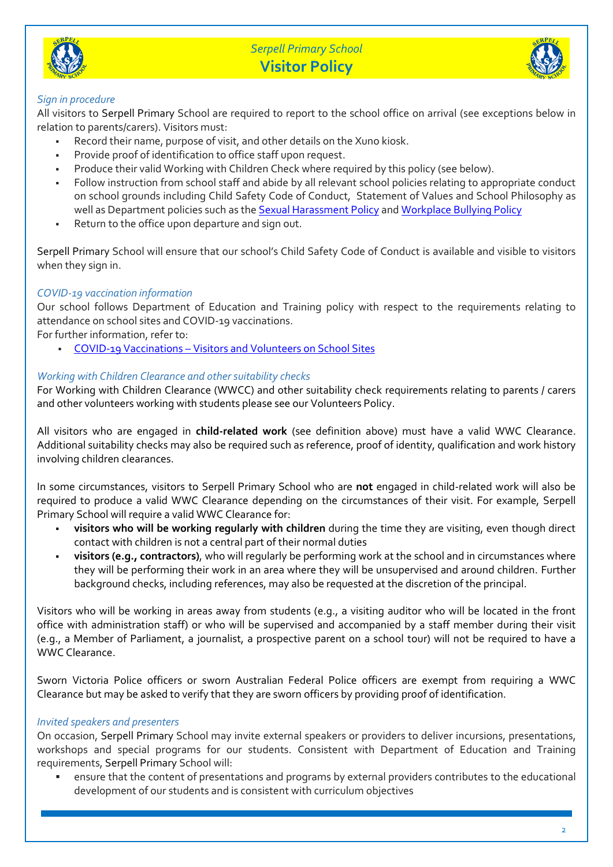

# *Serpell Primary School* **Visitor Policy**



## *Sign in procedure*

All visitors to Serpell Primary School are required to report to the school office on arrival (see exceptions below in relation to parents/carers). Visitors must:

- Record their name, purpose of visit, and other details on the Xuno kiosk.
- Provide proof of identification to office staff upon request.
- Produce their valid Working with Children Check where required by this policy (see below).
- Follow instruction from school staff and abide by all relevant school policies relating to appropriate conduct on school grounds including Child Safety Code of Conduct, Statement of Values and School Philosophy as well as Department policies such as th[e Sexual Harassment Policy](https://www2.education.vic.gov.au/pal/sexual-harassment/overview) an[d Workplace Bullying Policy](https://www2.education.vic.gov.au/pal/workplace-bullying/policy)
- Return to the office upon departure and sign out.

Serpell Primary School will ensure that our school's Child Safety Code of Conduct is available and visible to visitors when they sign in.

## *COVID-19 vaccination information*

Our school follows Department of Education and Training policy with respect to the requirements relating to attendance on school sites and COVID-19 vaccinations.

For further information, refer to:

▪ COVID-19 Vaccinations – [Visitors and Volunteers on School Sites](https://www2.education.vic.gov.au/pal/covid-19-vaccinations-visitors-volunteers/policy)

## *Working with Children Clearance and other suitability checks*

For Working with Children Clearance (WWCC) and other suitability check requirements relating to parents / carers and other volunteers working with students please see our Volunteers Policy.

All visitors who are engaged in **child-related work** (see definition above) must have a valid WWC Clearance. Additional suitability checks may also be required such as reference, proof of identity, qualification and work history involving children clearances.

In some circumstances, visitors to Serpell Primary School who are **not** engaged in child-related work will also be required to produce a valid WWC Clearance depending on the circumstances of their visit. For example, Serpell Primary School will require a valid WWC Clearance for:

- **visitors who will be working regularly with children** during the time they are visiting, even though direct contact with children is not a central part of their normal duties
- **visitors (e.g., contractors),** who will regularly be performing work at the school and in circumstances where they will be performing their work in an area where they will be unsupervised and around children. Further background checks, including references, may also be requested at the discretion of the principal.

Visitors who will be working in areas away from students (e.g., a visiting auditor who will be located in the front office with administration staff) or who will be supervised and accompanied by a staff member during their visit (e.g., a Member of Parliament, a journalist, a prospective parent on a school tour) will not be required to have a WWC Clearance.

Sworn Victoria Police officers or sworn Australian Federal Police officers are exempt from requiring a WWC Clearance but may be asked to verify that they are sworn officers by providing proof of identification.

## *Invited speakers and presenters*

On occasion, Serpell Primary School may invite external speakers or providers to deliver incursions, presentations, workshops and special programs for our students. Consistent with Department of Education and Training requirements, Serpell Primary School will:

ensure that the content of presentations and programs by external providers contributes to the educational development of our students and is consistent with curriculum objectives